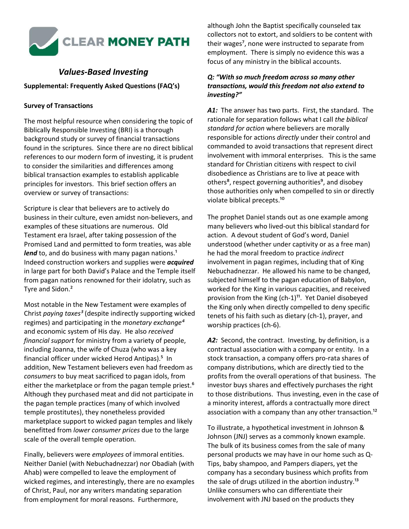

# *Values-Based Investing*

#### **Supplemental: Frequently Asked Questions (FAQ's)**

#### **Survey of Transactions**

The most helpful resource when considering the topic of Biblically Responsible Investing (BRI) is a thorough background study or survey of financial transactions found in the scriptures. Since there are no direct biblical references to our modern form of investing, it is prudent to consider the similarities and differences among biblical transaction examples to establish applicable principles for investors. This brief section offers an overview or survey of transactions:

Scripture is clear that believers are to actively do business in their culture, even amidst non-believers, and examples of these situations are numerous. Old Testament era Israel, after taking possession of the Promised Land and permitted to form treaties, was able lend to, and do business with many pagan nations.<sup>1</sup> Indeed construction workers and supplies were *acquired* in large part for both David's Palace and the Temple itself from pagan nations renowned for their idolatry, such as Tyre and Sidon.²

Most notable in the New Testament were examples of Christ *paying taxes³* (despite indirectly supporting wicked regimes) and participating in the *monetary exchange⁴* and economic system of His day. He also *received financial support* for ministry from a variety of people, including Joanna, the wife of Chuza (who was a key financial officer under wicked Herod Antipas).<sup>5</sup> In addition, New Testament believers even had freedom as *consumers* to buy meat sacrificed to pagan idols, from either the marketplace or from the pagan temple priest.<sup>6</sup> Although they purchased meat and did not participate in the pagan temple practices (many of which involved temple prostitutes), they nonetheless provided marketplace support to wicked pagan temples and likely benefitted from *lower consumer prices* due to the large scale of the overall temple operation.

Finally, believers were *employees* of immoral entities. Neither Daniel (with Nebuchadnezzar) nor Obadiah (with Ahab) were compelled to leave the employment of wicked regimes, and interestingly, there are no examples of Christ, Paul, nor any writers mandating separation from employment for moral reasons. Furthermore,

although John the Baptist specifically counseled tax collectors not to extort, and soldiers to be content with their wages⁷, none were instructed to separate from employment. There is simply no evidence this was a focus of any ministry in the biblical accounts.

## *Q: "With so much freedom across so many other transactions, would this freedom not also extend to investing?"*

*A1:* The answer has two parts. First, the standard. The rationale for separation follows what I call *the biblical standard for action* where believers are morally responsible for actions *directly* under their control and commanded to avoid transactions that represent direct involvement with immoral enterprises. This is the same standard for Christian citizens with respect to civil disobedience as Christians are to live at peace with others<sup>8</sup>, respect governing authorities<sup>9</sup>, and disobey those authorities only when compelled to sin or directly violate biblical precepts.<sup>10</sup>

The prophet Daniel stands out as one example among many believers who lived-out this biblical standard for action.A devout student of God's word, Daniel understood (whether under captivity or as a free man) he had the moral freedom to practice *indirect*  involvement in pagan regimes, including that of King Nebuchadnezzar. He allowed his name to be changed, subjected himself to the pagan education of Babylon, worked for the King in various capacities, and received provision from the King  $(ch-1)^{11}$ . Yet Daniel disobeyed the King only when directly compelled to deny specific tenets of his faith such as dietary (ch-1), prayer, and worship practices (ch-6).

*A2:* Second, the contract. Investing, by definition, is a contractual association with a company or entity. In a stock transaction, a company offers pro-rata shares of company distributions, which are directly tied to the profits from the overall operations of that business. The investor buys shares and effectively purchases the right to those distributions. Thus investing, even in the case of a minority interest, affords a contractually more direct association with a company than any other transaction.<sup>12</sup>

To illustrate, a hypothetical investment in Johnson & Johnson (JNJ) serves as a commonly known example. The bulk of its business comes from the sale of many personal products we may have in our home such as Q-Tips, baby shampoo, and Pampers diapers, yet the company has a secondary business which profits from the sale of drugs utilized in the abortion industry.<sup>13</sup> Unlike consumers who can differentiate their involvement with JNJ based on the products they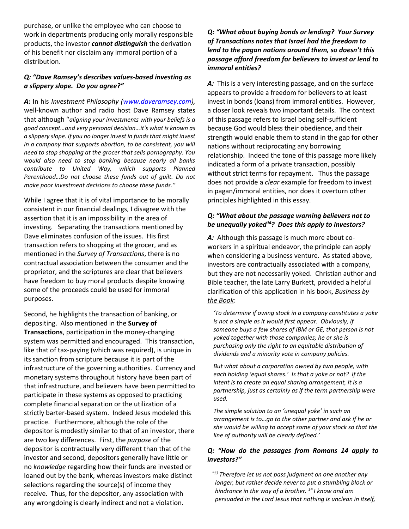purchase, or unlike the employee who can choose to work in departments producing only morally responsible products, the investor *cannot distinguish* the derivation of his benefit nor disclaim any immoral portion of a distribution.

#### *Q: "Dave Ramsey's describes values-based investing as a slippery slope. Do you agree?"*

*A:* In his *Investment Philosophy [\(www.daveramsey.com\)](http://www.daveramsey.com/),*  well-known author and radio host Dave Ramsey states that although "*aligning your investments with your beliefs is a good concept…and very personal decision…it's what is known as a slippery slope. If you no longer invest in funds that might invest in a company that supports abortion, to be consistent, you will need to stop shopping at the grocer that sells pornography. You would also need to stop banking because nearly all banks contribute to United Way, which supports Planned Parenthood…Do not choose these funds out of guilt. Do not make poor investment decisions to choose these funds."*

While I agree that it is of vital importance to be morally consistent in our financial dealings, I disagree with the assertion that it is an impossibility in the area of investing. Separating the transactions mentioned by Dave eliminates confusion of the issues. His first transaction refers to shopping at the grocer, and as mentioned in the *Survey of Transactions*, there is no contractual association between the consumer and the proprietor, and the scriptures are clear that believers have freedom to buy moral products despite knowing some of the proceeds could be used for immoral purposes.

Second, he highlights the transaction of banking, or depositing. Also mentioned in the **Survey of Transactions**, participation in the money-changing system was permitted and encouraged. This transaction, like that of tax-paying (which was required), is unique in its sanction from scripture because it is part of the infrastructure of the governing authorities. Currency and monetary systems throughout history have been part of that infrastructure, and believers have been permitted to participate in these systems as opposed to practicing complete financial separation or the utilization of a strictly barter-based system. Indeed Jesus modeled this practice. Furthermore, although the role of the depositor is modestly similar to that of an investor, there are two key differences. First, the *purpose* of the depositor is contractually very different than that of the investor and second, depositors generally have little or no *knowledge* regarding how their funds are invested or loaned out by the bank, whereas investors make distinct selections regarding the source(s) of income they receive.Thus, for the depositor, any association with any wrongdoing is clearly indirect and not a violation.

## *Q: "What about buying bonds or lending? Your Survey of Transactions notes that Israel had the freedom to lend to the pagan nations around them, so doesn't this passage afford freedom for believers to invest or lend to immoral entities?*

*A:* This is a very interesting passage, and on the surface appears to provide a freedom for believers to at least invest in bonds (loans) from immoral entities. However, a closer look reveals two important details. The context of this passage refers to Israel being self-sufficient because God would bless their obedience, and their strength would enable them to stand in the gap for other nations without reciprocating any borrowing relationship. Indeed the tone of this passage more likely indicated a form of a private transaction, possibly without strict terms for repayment. Thus the passage does not provide a *clear* example for freedom to invest in pagan/immoral entities, nor does it overturn other principles highlighted in this essay.

#### *Q: "What about the passage warning believers not to be unequally yoked<sup>14</sup>? Does this apply to investors?*

*A:* Although this passage is much more about coworkers in a spiritual endeavor, the principle can apply when considering a business venture. As stated above, investors are contractually associated with a company, but they are not necessarily yoked. Christian author and Bible teacher, the late Larry Burkett, provided a helpful clarification of this application in his book, *Business by the Book*:

*'To determine if owing stock in a company constitutes a yoke is not a simple as it would first appear. Obviously, if someone buys a few shares of IBM or GE, that person is not yoked together with those companies; he or she is purchasing only the right to an equitable distribution of dividends and a minority vote in company policies.*

*But what about a corporation owned by two people, with each holding 'equal shares.' Is that a yoke or not? If the intent is to create an equal sharing arrangement, it is a partnership, just as certainly as if the term partnership were used.* 

*The simple solution to an 'unequal yoke' in such an arrangement is to…go to the other partner and ask if he or she would be willing to accept some of your stock so that the line of authority will be clearly defined.'* 

## *Q: "How do the passages from Romans 14 apply to investors?"*

 *"<sup>13</sup> Therefore let us not pass judgment on one another any longer, but rather decide never to put a stumbling block or hindrance in the way of a brother. <sup>14</sup> I know and am persuaded in the Lord Jesus that nothing is unclean in itself,*